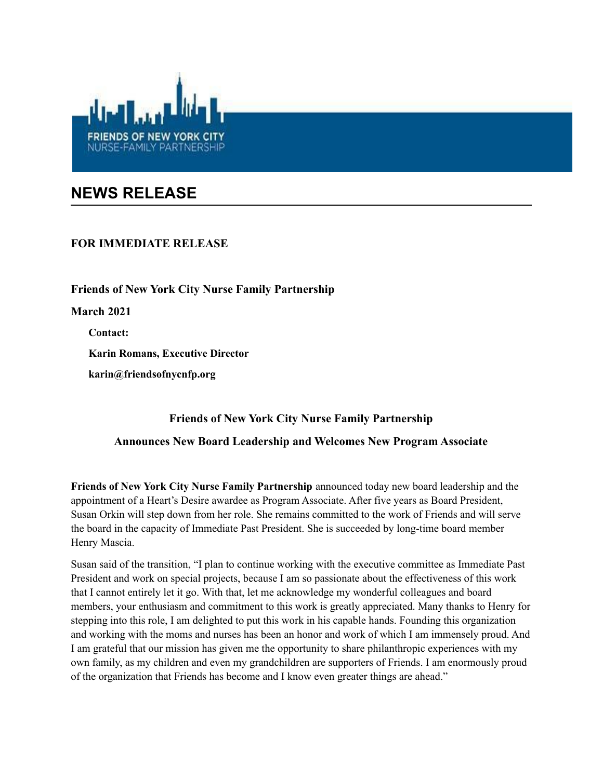

## **NEWS RELEASE**

## **FOR IMMEDIATE RELEASE**

**Friends of New York City Nurse Family Partnership March 2021 Contact: Karin Romans, Executive Director karin@friendsofnycnfp.org**

## **Friends of New York City Nurse Family Partnership Announces New Board Leadership and Welcomes New Program Associate**

**Friends of New York City Nurse Family Partnership** announced today new board leadership and the appointment of a Heart's Desire awardee as Program Associate. After five years as Board President, Susan Orkin will step down from her role. She remains committed to the work of Friends and will serve the board in the capacity of Immediate Past President. She is succeeded by long-time board member Henry Mascia.

Susan said of the transition, "I plan to continue working with the executive committee as Immediate Past President and work on special projects, because I am so passionate about the effectiveness of this work that I cannot entirely let it go. With that, let me acknowledge my wonderful colleagues and board members, your enthusiasm and commitment to this work is greatly appreciated. Many thanks to Henry for stepping into this role, I am delighted to put this work in his capable hands. Founding this organization and working with the moms and nurses has been an honor and work of which I am immensely proud. And I am grateful that our mission has given me the opportunity to share philanthropic experiences with my own family, as my children and even my grandchildren are supporters of Friends. I am enormously proud of the organization that Friends has become and I know even greater things are ahead."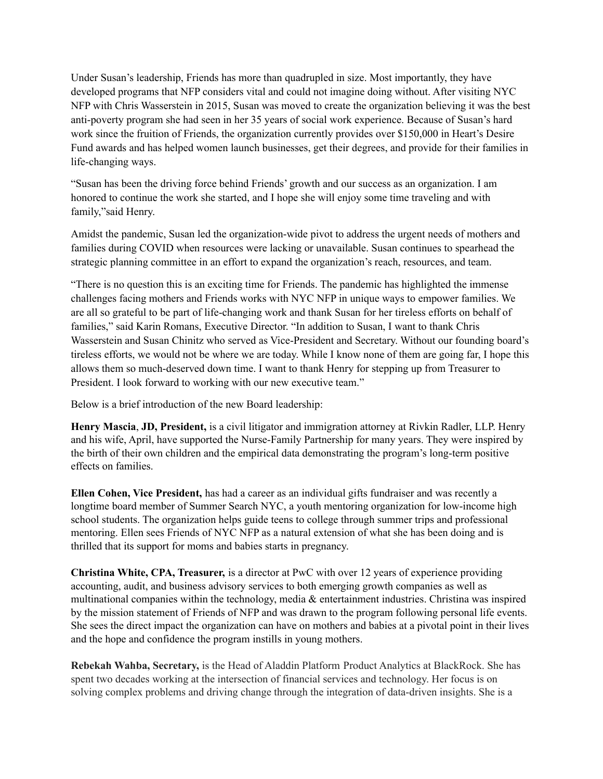Under Susan's leadership, Friends has more than quadrupled in size. Most importantly, they have developed programs that NFP considers vital and could not imagine doing without. After visiting NYC NFP with Chris Wasserstein in 2015, Susan was moved to create the organization believing it was the best anti-poverty program she had seen in her 35 years of social work experience. Because of Susan's hard work since the fruition of Friends, the organization currently provides over \$150,000 in Heart's Desire Fund awards and has helped women launch businesses, get their degrees, and provide for their families in life-changing ways.

"Susan has been the driving force behind Friends' growth and our success as an organization. I am honored to continue the work she started, and I hope she will enjoy some time traveling and with family,"said Henry.

Amidst the pandemic, Susan led the organization-wide pivot to address the urgent needs of mothers and families during COVID when resources were lacking or unavailable. Susan continues to spearhead the strategic planning committee in an effort to expand the organization's reach, resources, and team.

"There is no question this is an exciting time for Friends. The pandemic has highlighted the immense challenges facing mothers and Friends works with NYC NFP in unique ways to empower families. We are all so grateful to be part of life-changing work and thank Susan for her tireless efforts on behalf of families," said Karin Romans, Executive Director. "In addition to Susan, I want to thank Chris Wasserstein and Susan Chinitz who served as Vice-President and Secretary. Without our founding board's tireless efforts, we would not be where we are today. While I know none of them are going far, I hope this allows them so much-deserved down time. I want to thank Henry for stepping up from Treasurer to President. I look forward to working with our new executive team."

Below is a brief introduction of the new Board leadership:

**Henry Mascia**, **JD, President,** is a civil litigator and immigration attorney at Rivkin Radler, LLP. Henry and his wife, April, have supported the Nurse-Family Partnership for many years. They were inspired by the birth of their own children and the empirical data demonstrating the program's long-term positive effects on families.

**Ellen Cohen, Vice President,** has had a career as an individual gifts fundraiser and was recently a longtime board member of Summer Search NYC, a youth mentoring organization for low-income high school students. The organization helps guide teens to college through summer trips and professional mentoring. Ellen sees Friends of NYC NFP as a natural extension of what she has been doing and is thrilled that its support for moms and babies starts in pregnancy.

**Christina White, CPA, Treasurer,** is a director at PwC with over 12 years of experience providing accounting, audit, and business advisory services to both emerging growth companies as well as multinational companies within the technology, media & entertainment industries. Christina was inspired by the mission statement of Friends of NFP and was drawn to the program following personal life events. She sees the direct impact the organization can have on mothers and babies at a pivotal point in their lives and the hope and confidence the program instills in young mothers.

**Rebekah Wahba, Secretary,** is the Head of Aladdin Platform Product Analytics at BlackRock. She has spent two decades working at the intersection of financial services and technology. Her focus is on solving complex problems and driving change through the integration of data-driven insights. She is a